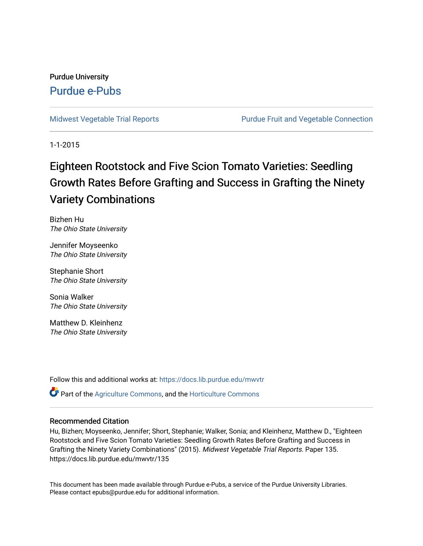## Purdue University [Purdue e-Pubs](https://docs.lib.purdue.edu/)

[Midwest Vegetable Trial Reports](https://docs.lib.purdue.edu/mwvtr) **Purdue Fruit and Vegetable Connection** 

1-1-2015

# Eighteen Rootstock and Five Scion Tomato Varieties: Seedling Growth Rates Before Grafting and Success in Grafting the Ninety Variety Combinations

Bizhen Hu The Ohio State University

Jennifer Moyseenko The Ohio State University

Stephanie Short The Ohio State University

Sonia Walker The Ohio State University

Matthew D. Kleinhenz The Ohio State University

Follow this and additional works at: [https://docs.lib.purdue.edu/mwvtr](https://docs.lib.purdue.edu/mwvtr?utm_source=docs.lib.purdue.edu%2Fmwvtr%2F135&utm_medium=PDF&utm_campaign=PDFCoverPages) 

Part of the [Agriculture Commons](http://network.bepress.com/hgg/discipline/1076?utm_source=docs.lib.purdue.edu%2Fmwvtr%2F135&utm_medium=PDF&utm_campaign=PDFCoverPages), and the [Horticulture Commons](http://network.bepress.com/hgg/discipline/105?utm_source=docs.lib.purdue.edu%2Fmwvtr%2F135&utm_medium=PDF&utm_campaign=PDFCoverPages) 

#### Recommended Citation

Hu, Bizhen; Moyseenko, Jennifer; Short, Stephanie; Walker, Sonia; and Kleinhenz, Matthew D., "Eighteen Rootstock and Five Scion Tomato Varieties: Seedling Growth Rates Before Grafting and Success in Grafting the Ninety Variety Combinations" (2015). Midwest Vegetable Trial Reports. Paper 135. https://docs.lib.purdue.edu/mwvtr/135

This document has been made available through Purdue e-Pubs, a service of the Purdue University Libraries. Please contact epubs@purdue.edu for additional information.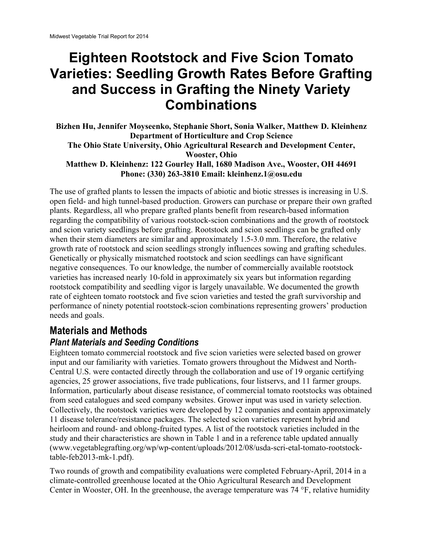# **and Success in Grafting the Ninety Variety Eighteen Rootstock and Five Scion Tomato Varieties: Seedling Growth Rates Before Grafting Combinations**

**Bizhen Hu, Jennifer Moyseenko, Stephanie Short, Sonia Walker, Matthew D. Kleinhenz Department of Horticulture and Crop Science The Ohio State University, Ohio Agricultural Research and Development Center, Wooster, Ohio Matthew D. Kleinhenz: 122 Gourley Hall, 1680 Madison Ave., Wooster, OH 44691 Phone: (330) 263-3810 Email: [kleinhenz.1@osu.edu](mailto:kleinhenz.1@osu.edu)** 

The use of grafted plants to lessen the impacts of abiotic and biotic stresses is increasing in U.S. open field- and high tunnel-based production. Growers can purchase or prepare their own grafted plants. Regardless, all who prepare grafted plants benefit from research-based information regarding the compatibility of various rootstock-scion combinations and the growth of rootstock and scion variety seedlings before grafting. Rootstock and scion seedlings can be grafted only when their stem diameters are similar and approximately 1.5-3.0 mm. Therefore, the relative growth rate of rootstock and scion seedlings strongly influences sowing and grafting schedules. Genetically or physically mismatched rootstock and scion seedlings can have significant negative consequences. To our knowledge, the number of commercially available rootstock varieties has increased nearly 10-fold in approximately six years but information regarding rootstock compatibility and seedling vigor is largely unavailable. We documented the growth rate of eighteen tomato rootstock and five scion varieties and tested the graft survivorship and performance of ninety potential rootstock-scion combinations representing growers' production needs and goals.

# **Materials and Methods**

#### *Plant Materials and Seeding Conditions*

Eighteen tomato commercial rootstock and five scion varieties were selected based on grower input and our familiarity with varieties. Tomato growers throughout the Midwest and North-Central U.S. were contacted directly through the collaboration and use of 19 organic certifying agencies, 25 grower associations, five trade publications, four listservs, and 11 farmer groups. Information, particularly about disease resistance, of commercial tomato rootstocks was obtained from seed catalogues and seed company websites. Grower input was used in variety selection. Collectively, the rootstock varieties were developed by 12 companies and contain approximately 11 disease tolerance/resistance packages. The selected scion varieties represent hybrid and heirloom and round- and oblong-fruited types. A list of the rootstock varieties included in the study and their characteristics are shown in Table 1 and in a reference table updated annually (<www.vegetablegrafting.org/wp/wp-content/uploads/2012/08/usda-scri-etal-tomato-rootstock>table-feb2013-mk-1.pdf).

Two rounds of growth and compatibility evaluations were completed February-April, 2014 in a climate-controlled greenhouse located at the Ohio Agricultural Research and Development Center in Wooster, OH. In the greenhouse, the average temperature was 74 °F, relative humidity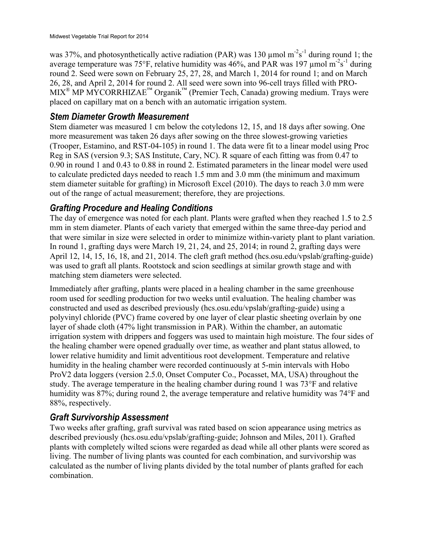was 37%, and photosynthetically active radiation (PAR) was 130  $\mu$ mol m<sup>-2</sup>s<sup>-1</sup> during round 1; the average temperature was 75°F, relative humidity was 46%, and PAR was 197  $\mu$ mol m<sup>-2</sup>s<sup>-1</sup> during round 2. Seed were sown on February 25, 27, 28, and March 1, 2014 for round 1; and on March 26, 28, and April 2, 2014 for round 2. All seed were sown into 96-cell trays filled with PRO- $MIX^{\circledR}$  MP MYCORRHIZAE<sup>™</sup> Organik<sup>™</sup> (Premier Tech, Canada) growing medium. Trays were placed on capillary mat on a bench with an automatic irrigation system.

#### *Stem Diameter Growth Measurement*

Stem diameter was measured 1 cm below the cotyledons 12, 15, and 18 days after sowing. One more measurement was taken 26 days after sowing on the three slowest-growing varieties (Trooper, Estamino, and RST-04-105) in round 1. The data were fit to a linear model using Proc Reg in SAS (version 9.3; SAS Institute, Cary, NC). R square of each fitting was from 0.47 to 0.90 in round 1 and 0.43 to 0.88 in round 2. Estimated parameters in the linear model were used to calculate predicted days needed to reach 1.5 mm and 3.0 mm (the minimum and maximum stem diameter suitable for grafting) in Microsoft Excel (2010). The days to reach 3.0 mm were out of the range of actual measurement; therefore, they are projections.

### *Grafting Procedure and Healing Conditions*

The day of emergence was noted for each plant. Plants were grafted when they reached 1.5 to 2.5 mm in stem diameter. Plants of each variety that emerged within the same three-day period and that were similar in size were selected in order to minimize within-variety plant to plant variation. In round 1, grafting days were March 19, 21, 24, and 25, 2014; in round 2, grafting days were April 12, 14, 15, 16, 18, and 21, 2014. The cleft graft method [\(hcs.osu.edu/vpslab/grafting-guide\)](https://hcs.osu.edu/vpslab/grafting-guide) was used to graft all plants. Rootstock and scion seedlings at similar growth stage and with matching stem diameters were selected.

Immediately after grafting, plants were placed in a healing chamber in the same greenhouse room used for seedling production for two weeks until evaluation. The healing chamber was constructed and used as described previously [\(hcs.osu.edu/vpslab/grafting-guide\)](https://hcs.osu.edu/vpslab/grafting-guide) using a polyvinyl chloride (PVC) frame covered by one layer of clear plastic sheeting overlain by one layer of shade cloth (47% light transmission in PAR). Within the chamber, an automatic irrigation system with drippers and foggers was used to maintain high moisture. The four sides of the healing chamber were opened gradually over time, as weather and plant status allowed, to lower relative humidity and limit adventitious root development. Temperature and relative humidity in the healing chamber were recorded continuously at 5-min intervals with Hobo ProV2 data loggers (version 2.5.0, Onset Computer Co., Pocasset, MA, USA) throughout the study. The average temperature in the healing chamber during round 1 was 73°F and relative humidity was 87%; during round 2, the average temperature and relative humidity was 74°F and 88%, respectively.

#### *Graft Survivorship Assessment*

Two weeks after grafting, graft survival was rated based on scion appearance using metrics as described previously ([hcs.osu.edu/vpslab/grafting-guide](https://hcs.osu.edu/vpslab/grafting-guide); Johnson and Miles, 2011). Grafted plants with completely wilted scions were regarded as dead while all other plants were scored as living. The number of living plants was counted for each combination, and survivorship was calculated as the number of living plants divided by the total number of plants grafted for each combination.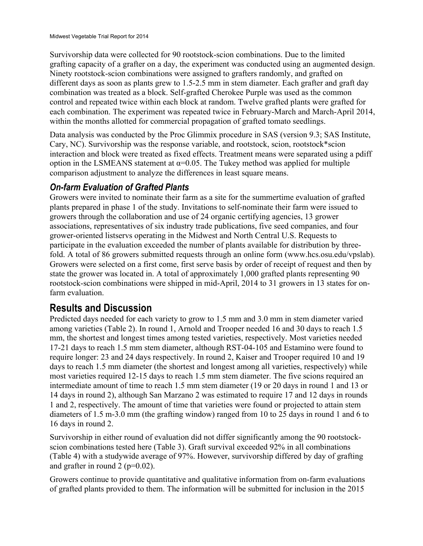Survivorship data were collected for 90 rootstock-scion combinations. Due to the limited grafting capacity of a grafter on a day, the experiment was conducted using an augmented design. Ninety rootstock-scion combinations were assigned to grafters randomly, and grafted on different days as soon as plants grew to 1.5-2.5 mm in stem diameter. Each grafter and graft day combination was treated as a block. Self-grafted Cherokee Purple was used as the common control and repeated twice within each block at random. Twelve grafted plants were grafted for each combination. The experiment was repeated twice in February-March and March-April 2014, within the months allotted for commercial propagation of grafted tomato seedlings.

Data analysis was conducted by the Proc Glimmix procedure in SAS (version 9.3; SAS Institute, Cary, NC). Survivorship was the response variable, and rootstock, scion, rootstock\*scion interaction and block were treated as fixed effects. Treatment means were separated using a pdiff option in the LSMEANS statement at  $\alpha$ =0.05. The Tukey method was applied for multiple comparison adjustment to analyze the differences in least square means.

## *On-farm Evaluation of Grafted Plants*

Growers were invited to nominate their farm as a site for the summertime evaluation of grafted plants prepared in phase 1 of the study. Invitations to self-nominate their farm were issued to growers through the collaboration and use of 24 organic certifying agencies, 13 grower associations, representatives of six industry trade publications, five seed companies, and four grower-oriented listservs operating in the Midwest and North Central U.S. Requests to participate in the evaluation exceeded the number of plants available for distribution by threefold. A total of 86 growers submitted requests through an online form [\(www.hcs.osu.edu/vpslab](www.hcs.osu.edu/vpslab)). Growers were selected on a first come, first serve basis by order of receipt of request and then by state the grower was located in. A total of approximately 1,000 grafted plants representing 90 rootstock-scion combinations were shipped in mid-April, 2014 to 31 growers in 13 states for onfarm evaluation.

# **Results and Discussion**

Predicted days needed for each variety to grow to 1.5 mm and 3.0 mm in stem diameter varied among varieties (Table 2). In round 1, Arnold and Trooper needed 16 and 30 days to reach 1.5 mm, the shortest and longest times among tested varieties, respectively. Most varieties needed 17-21 days to reach 1.5 mm stem diameter, although RST-04-105 and Estamino were found to require longer: 23 and 24 days respectively. In round 2, Kaiser and Trooper required 10 and 19 days to reach 1.5 mm diameter (the shortest and longest among all varieties, respectively) while most varieties required 12-15 days to reach 1.5 mm stem diameter. The five scions required an intermediate amount of time to reach 1.5 mm stem diameter (19 or 20 days in round 1 and 13 or 14 days in round 2), although San Marzano 2 was estimated to require 17 and 12 days in rounds 1 and 2, respectively. The amount of time that varieties were found or projected to attain stem diameters of 1.5 m-3.0 mm (the grafting window) ranged from 10 to 25 days in round 1 and 6 to 16 days in round 2.

Survivorship in either round of evaluation did not differ significantly among the 90 rootstockscion combinations tested here (Table 3). Graft survival exceeded 92% in all combinations (Table 4) with a studywide average of 97%. However, survivorship differed by day of grafting and grafter in round 2 ( $p=0.02$ ).

Growers continue to provide quantitative and qualitative information from on-farm evaluations of grafted plants provided to them. The information will be submitted for inclusion in the 2015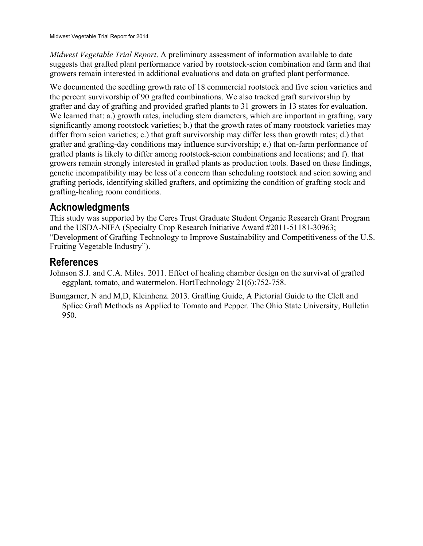*Midwest Vegetable Trial Report*. A preliminary assessment of information available to date suggests that grafted plant performance varied by rootstock-scion combination and farm and that growers remain interested in additional evaluations and data on grafted plant performance.

We documented the seedling growth rate of 18 commercial rootstock and five scion varieties and the percent survivorship of 90 grafted combinations. We also tracked graft survivorship by grafter and day of grafting and provided grafted plants to 31 growers in 13 states for evaluation. We learned that: a.) growth rates, including stem diameters, which are important in grafting, vary significantly among rootstock varieties; b.) that the growth rates of many rootstock varieties may differ from scion varieties; c.) that graft survivorship may differ less than growth rates; d.) that grafter and grafting-day conditions may influence survivorship; e.) that on-farm performance of grafted plants is likely to differ among rootstock-scion combinations and locations; and f). that growers remain strongly interested in grafted plants as production tools. Based on these findings, genetic incompatibility may be less of a concern than scheduling rootstock and scion sowing and grafting periods, identifying skilled grafters, and optimizing the condition of grafting stock and grafting-healing room conditions.

# **Acknowledgments**

This study was supported by the Ceres Trust Graduate Student Organic Research Grant Program and the USDA-NIFA (Specialty Crop Research Initiative Award #2011-51181-30963; "Development of Grafting Technology to Improve Sustainability and Competitiveness of the U.S. Fruiting Vegetable Industry").

# **References**

- Johnson S.J. and C.A. Miles. 2011. Effect of healing chamber design on the survival of grafted eggplant, tomato, and watermelon. HortTechnology 21(6):752-758.
- Bumgarner, N and M,D, Kleinhenz. 2013. Grafting Guide, A Pictorial Guide to the Cleft and Splice Graft Methods as Applied to Tomato and Pepper. The Ohio State University, Bulletin 950.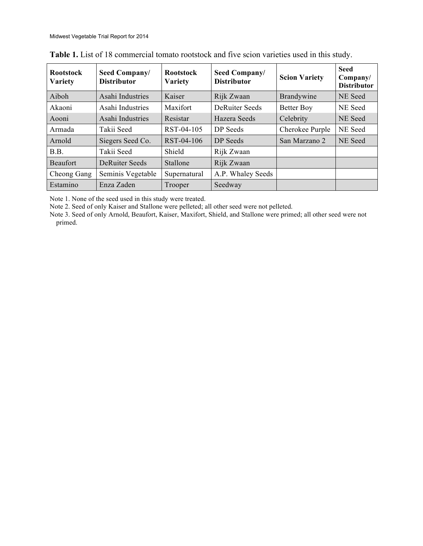| <b>Rootstock</b><br><b>Variety</b> | Seed Company/<br><b>Distributor</b> | <b>Rootstock</b><br><b>Variety</b> | Seed Company/<br><b>Distributor</b> | <b>Scion Variety</b> | <b>Seed</b><br>Company/<br><b>Distributor</b> |  |  |
|------------------------------------|-------------------------------------|------------------------------------|-------------------------------------|----------------------|-----------------------------------------------|--|--|
| Aiboh                              | Asahi Industries                    | Kaiser                             | Rijk Zwaan                          | Brandywine           | NE Seed                                       |  |  |
| Akaoni                             | Asahi Industries                    | Maxifort                           | <b>DeRuiter Seeds</b>               | <b>Better Boy</b>    | NE Seed                                       |  |  |
| Aooni                              | Asahi Industries                    | Resistar                           | Hazera Seeds                        | Celebrity            | NE Seed                                       |  |  |
| Armada                             | Takii Seed                          | RST-04-105                         | DP Seeds                            | Cherokee Purple      | NE Seed                                       |  |  |
| Arnold                             | Siegers Seed Co.                    | RST-04-106                         | DP Seeds                            | San Marzano 2        | NE Seed                                       |  |  |
| B.B.                               | Takii Seed                          | Shield                             | Rijk Zwaan                          |                      |                                               |  |  |
| <b>Beaufort</b>                    | <b>DeRuiter Seeds</b>               | Stallone                           | Rijk Zwaan                          |                      |                                               |  |  |
| Cheong Gang                        | Seminis Vegetable                   | Supernatural                       | A.P. Whaley Seeds                   |                      |                                               |  |  |
| Estamino                           | Enza Zaden                          | <b>Trooper</b>                     | Seedway                             |                      |                                               |  |  |

**Table 1.** List of 18 commercial tomato rootstock and five scion varieties used in this study.

Note 1. None of the seed used in this study were treated.

Note 2. Seed of only Kaiser and Stallone were pelleted; all other seed were not pelleted.

 Note 3. Seed of only Arnold, Beaufort, Kaiser, Maxifort, Shield, and Stallone were primed; all other seed were not primed.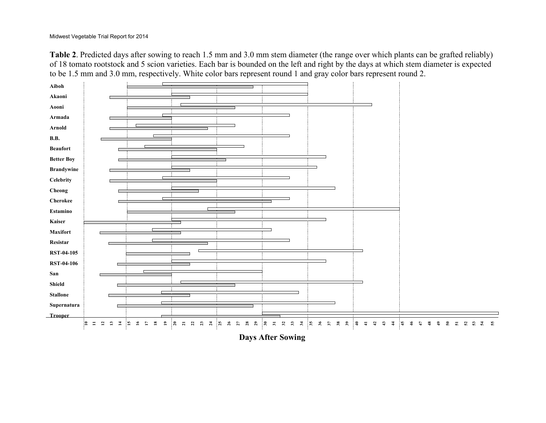**Table 2**. Predicted days after sowing to reach 1.5 mm and 3.0 mm stem diameter (the range over which plants can be grafted reliably) of 18 tomato rootstock and 5 scion varieties. Each bar is bounded on the left and right by the days at which stem diameter is expected to be 1.5 mm and 3.0 mm, respectively. White color bars represent round 1 and gray color bars represent round 2.

| Aiboh             |                                                          |                       |             |                                |              |              |                |                                          |                |                        |    |                                                                    |  |                                       |           |          |      |                          |                  |    |       |                       |               |               |                             |              |            |                                           |            |    |    |
|-------------------|----------------------------------------------------------|-----------------------|-------------|--------------------------------|--------------|--------------|----------------|------------------------------------------|----------------|------------------------|----|--------------------------------------------------------------------|--|---------------------------------------|-----------|----------|------|--------------------------|------------------|----|-------|-----------------------|---------------|---------------|-----------------------------|--------------|------------|-------------------------------------------|------------|----|----|
| Akaoni            |                                                          |                       |             |                                |              |              |                |                                          |                |                        |    |                                                                    |  |                                       |           |          |      |                          |                  |    |       |                       |               |               |                             |              |            |                                           |            |    |    |
| Aooni             |                                                          |                       |             |                                |              |              |                |                                          |                |                        |    |                                                                    |  |                                       |           |          |      |                          |                  |    |       |                       |               |               |                             |              |            |                                           |            |    |    |
| Armada            |                                                          |                       |             |                                |              |              |                |                                          |                |                        |    |                                                                    |  |                                       |           |          |      |                          |                  |    |       |                       |               |               |                             |              |            |                                           |            |    |    |
| $\bf Arnold$      |                                                          |                       |             |                                |              |              |                |                                          |                |                        |    |                                                                    |  |                                       |           |          |      |                          |                  |    |       |                       |               |               |                             |              |            |                                           |            |    |    |
| <b>B.B.</b>       |                                                          |                       |             |                                |              |              |                |                                          |                |                        |    |                                                                    |  |                                       |           |          |      |                          |                  |    |       |                       |               |               |                             |              |            |                                           |            |    |    |
| <b>Beaufort</b>   |                                                          |                       |             |                                |              |              |                |                                          |                |                        |    |                                                                    |  |                                       |           |          |      |                          |                  |    |       |                       |               |               |                             |              |            |                                           |            |    |    |
| <b>Better Boy</b> |                                                          |                       |             |                                |              |              |                |                                          |                |                        |    |                                                                    |  |                                       |           |          |      |                          |                  |    |       |                       |               |               |                             |              |            |                                           |            |    |    |
|                   |                                                          |                       |             |                                |              |              |                |                                          |                |                        |    |                                                                    |  |                                       |           |          |      |                          |                  |    |       |                       |               |               |                             |              |            |                                           |            |    |    |
| <b>Brandywine</b> |                                                          |                       |             |                                |              |              |                |                                          |                |                        |    |                                                                    |  |                                       |           |          |      |                          |                  |    |       |                       |               |               |                             |              |            |                                           |            |    |    |
| Celebrity         |                                                          |                       |             |                                |              |              |                |                                          |                |                        |    |                                                                    |  |                                       |           |          |      |                          |                  |    |       |                       |               |               |                             |              |            |                                           |            |    |    |
| Cheong            |                                                          |                       |             |                                |              |              |                |                                          |                |                        |    |                                                                    |  |                                       |           |          |      |                          |                  |    |       |                       |               |               |                             |              |            |                                           |            |    |    |
| <b>Cherokee</b>   |                                                          |                       |             |                                |              |              |                |                                          |                |                        |    |                                                                    |  |                                       |           |          |      |                          |                  |    |       |                       |               |               |                             |              |            |                                           |            |    |    |
| Estamine          |                                                          |                       |             |                                |              |              |                |                                          |                |                        |    |                                                                    |  |                                       |           |          |      |                          |                  |    |       |                       |               |               |                             |              |            |                                           |            |    |    |
| Kaiser            |                                                          |                       |             |                                |              |              |                |                                          |                |                        |    |                                                                    |  |                                       |           |          |      |                          |                  |    |       |                       |               |               |                             |              |            |                                           |            |    |    |
| Maxifort          |                                                          |                       |             |                                |              |              |                |                                          |                |                        |    |                                                                    |  |                                       |           |          |      |                          |                  |    |       |                       |               |               |                             |              |            |                                           |            |    |    |
| Resistar          |                                                          |                       |             |                                |              |              |                |                                          | п              |                        |    |                                                                    |  |                                       |           |          |      |                          |                  |    |       |                       |               |               |                             |              |            |                                           |            |    |    |
| <b>RST-04-105</b> |                                                          |                       |             |                                |              |              |                |                                          |                |                        |    |                                                                    |  |                                       |           |          |      |                          |                  |    |       |                       |               |               |                             |              |            |                                           |            |    |    |
| <b>RST-04-106</b> |                                                          |                       |             |                                |              |              |                |                                          |                |                        |    |                                                                    |  |                                       |           |          |      |                          |                  |    |       |                       |               |               |                             |              |            |                                           |            |    |    |
| San               |                                                          |                       |             |                                |              |              |                |                                          |                |                        |    |                                                                    |  |                                       |           |          |      |                          |                  |    |       |                       |               |               |                             |              |            |                                           |            |    |    |
| Shield            |                                                          |                       |             |                                |              |              |                |                                          |                |                        |    |                                                                    |  |                                       |           |          |      |                          |                  |    |       |                       |               |               |                             |              |            |                                           |            |    |    |
| <b>Stallone</b>   |                                                          |                       |             |                                |              |              |                |                                          |                |                        |    |                                                                    |  |                                       |           |          |      |                          |                  |    |       |                       |               |               |                             |              |            |                                           |            |    |    |
| Supernatura       |                                                          |                       |             |                                |              |              |                |                                          |                |                        |    |                                                                    |  |                                       |           |          |      |                          |                  |    |       |                       |               |               |                             |              |            |                                           |            |    |    |
| Trooper           |                                                          |                       |             |                                |              |              |                |                                          |                |                        |    |                                                                    |  |                                       |           |          |      |                          |                  |    |       |                       |               |               |                             |              |            |                                           |            |    |    |
|                   | $\mathbf{S}$<br>$\mathbf{r}$<br>$\mathbf{r}$<br>$\equiv$ | $\Xi$<br>$\mathbb{R}$ | $\tilde{a}$ | $\mathbf{a}$<br>$\overline{a}$ | $\mathbf{r}$ | $\mathbb{R}$ | $\overline{z}$ | $\begin{array}{cc} 23 \\ 23 \end{array}$ | $\overline{z}$ | $\mathbf{z}_5$<br>$26$ | 27 | $\begin{array}{c cc}\n\text{a} & \text{b} & \text{c}\n\end{array}$ |  | $\begin{array}{cc} 3 & 3 \end{array}$ | $\vec{x}$ | <b>8</b> | $36$ | $38\,$<br>$\mathfrak{F}$ | $\mathfrak{s}_2$ | ା≑ | $\pm$ | $43$<br>$\frac{4}{2}$ | $\frac{4}{3}$ | $\frac{1}{4}$ | $\frac{4}{5}$<br>$\ddot{r}$ | $\mathbf{a}$ | $\ddot{ }$ | $\mathbb{S}^2$<br>$\overline{\mathbf{5}}$ | <b>ន</b> ន | Y. | ងី |
|                   |                                                          |                       |             |                                |              |              |                |                                          |                |                        |    | <b>Days After Sowing</b>                                           |  |                                       |           |          |      |                          |                  |    |       |                       |               |               |                             |              |            |                                           |            |    |    |
|                   |                                                          |                       |             |                                |              |              |                |                                          |                |                        |    |                                                                    |  |                                       |           |          |      |                          |                  |    |       |                       |               |               |                             |              |            |                                           |            |    |    |